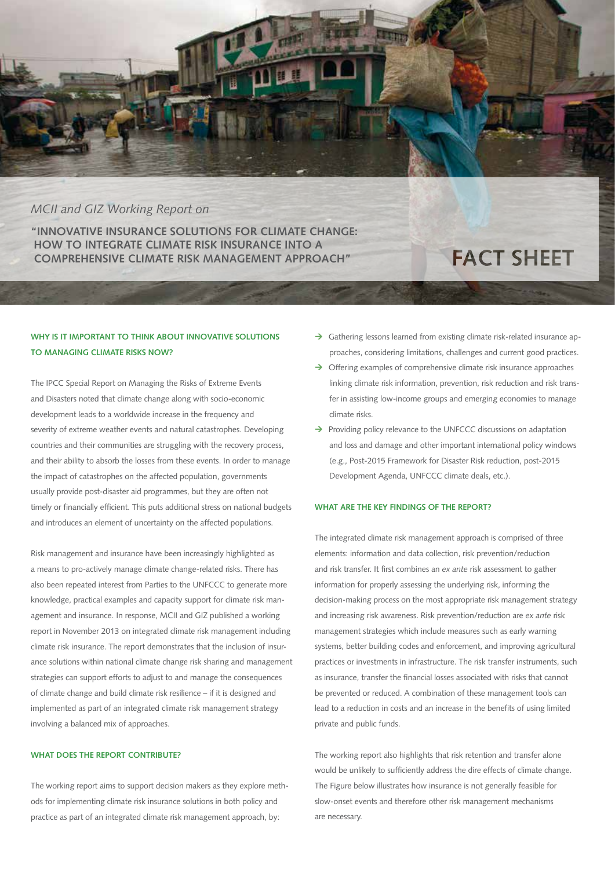

## *MCII and GIZ Working Report on*

**"INNOVATIVE INSURANCE SOLUTIONS FOR CLIMATE CHANGE: HOW TO INTEGRATE CLIMATE RISK INSURANCE INTO A COMPREHENSIVE CLIMATE RISK MANAGEMENT APPROACH"**

# **FACT SHEET**

## **WHY IS IT IMPORTANT TO THINK ABOUT INNOVATIVE SOLUTIONS TO MANAGING CLIMATE RISKS NOW?**

The IPCC Special Report on Managing the Risks of Extreme Events and Disasters noted that climate change along with socio-economic development leads to a worldwide increase in the frequency and severity of extreme weather events and natural catastrophes. Developing countries and their communities are struggling with the recovery process, and their ability to absorb the losses from these events. In order to manage the impact of catastrophes on the affected population, governments usually provide post-disaster aid programmes, but they are often not timely or financially efficient. This puts additional stress on national budgets and introduces an element of uncertainty on the affected populations.

Risk management and insurance have been increasingly highlighted as a means to pro-actively manage climate change-related risks. There has also been repeated interest from Parties to the UNFCCC to generate more knowledge, practical examples and capacity support for climate risk management and insurance. In response, MCII and GIZ published a working report in November 2013 on integrated climate risk management including climate risk insurance. The report demonstrates that the inclusion of insurance solutions within national climate change risk sharing and management strategies can support efforts to adjust to and manage the consequences of climate change and build climate risk resilience – if it is designed and implemented as part of an integrated climate risk management strategy involving a balanced mix of approaches.

#### **WHAT DOES THE REPORT CONTRIBUTE?**

The working report aims to support decision makers as they explore methods for implementing climate risk insurance solutions in both policy and practice as part of an integrated climate risk management approach, by:

- $\rightarrow$  Gathering lessons learned from existing climate risk-related insurance approaches, considering limitations, challenges and current good practices.
- $\rightarrow$  Offering examples of comprehensive climate risk insurance approaches linking climate risk information, prevention, risk reduction and risk transfer in assisting low-income groups and emerging economies to manage climate risks.
- $\rightarrow$  Providing policy relevance to the UNFCCC discussions on adaptation and loss and damage and other important international policy windows (e.g., Post-2015 Framework for Disaster Risk reduction, post-2015 Development Agenda, UNFCCC climate deals, etc.).

#### **WHAT ARE THE KEY FINDINGS OF THE REPORT?**

The integrated climate risk management approach is comprised of three elements: information and data collection, risk prevention/reduction and risk transfer. It first combines an *ex ante* risk assessment to gather information for properly assessing the underlying risk, informing the decision-making process on the most appropriate risk management strategy and increasing risk awareness. Risk prevention/reduction are *ex ante* risk management strategies which include measures such as early warning systems, better building codes and enforcement, and improving agricultural practices or investments in infrastructure. The risk transfer instruments, such as insurance, transfer the financial losses associated with risks that cannot be prevented or reduced. A combination of these management tools can lead to a reduction in costs and an increase in the benefits of using limited private and public funds.

The working report also highlights that risk retention and transfer alone would be unlikely to sufficiently address the dire effects of climate change. The Figure below illustrates how insurance is not generally feasible for slow-onset events and therefore other risk management mechanisms are necessary.